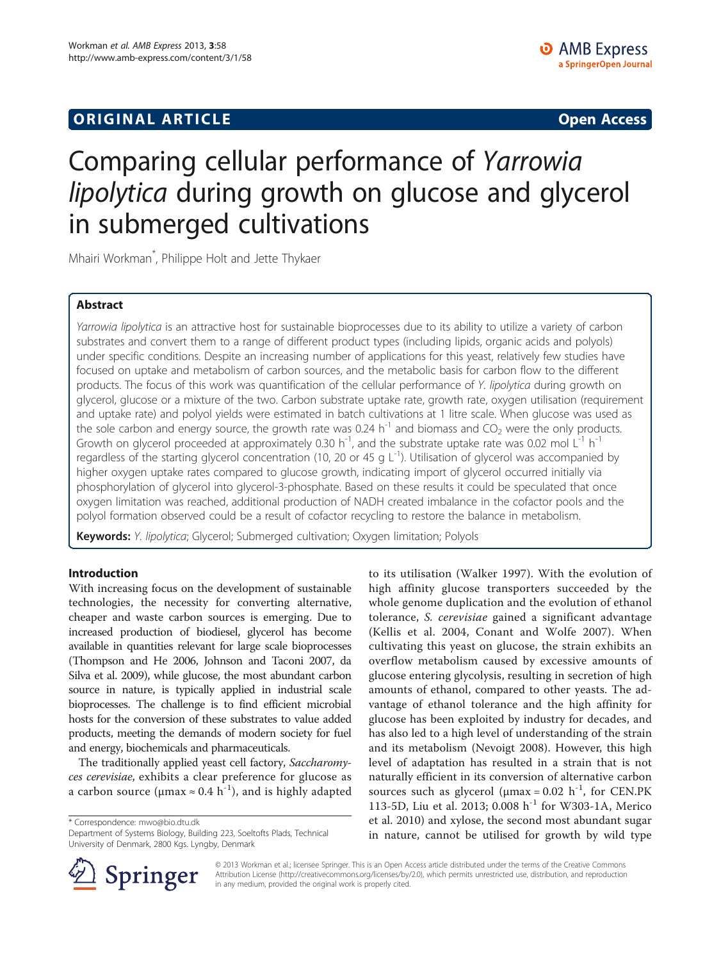# **ORIGINAL ARTICLE CONSUMING A LIGACION CONSUMING A LIGACION CONSUMING A LIGACION**

# Comparing cellular performance of Yarrowia lipolytica during growth on glucose and glycerol in submerged cultivations

Mhairi Workman\* , Philippe Holt and Jette Thykaer

# Abstract

Yarrowia lipolytica is an attractive host for sustainable bioprocesses due to its ability to utilize a variety of carbon substrates and convert them to a range of different product types (including lipids, organic acids and polyols) under specific conditions. Despite an increasing number of applications for this yeast, relatively few studies have focused on uptake and metabolism of carbon sources, and the metabolic basis for carbon flow to the different products. The focus of this work was quantification of the cellular performance of Y. lipolytica during growth on glycerol, glucose or a mixture of the two. Carbon substrate uptake rate, growth rate, oxygen utilisation (requirement and uptake rate) and polyol yields were estimated in batch cultivations at 1 litre scale. When glucose was used as the sole carbon and energy source, the growth rate was 0.24  $h^{-1}$  and biomass and CO<sub>2</sub> were the only products. Growth on glycerol proceeded at approximately 0.30 h<sup>-1</sup>, and the substrate uptake rate was 0.02 mol  $L^{-1}$  h<sup>-1</sup> regardless of the starting glycerol concentration (10, 20 or 45 g  $L^{-1}$ ). Utilisation of glycerol was accompanied by higher oxygen uptake rates compared to glucose growth, indicating import of glycerol occurred initially via phosphorylation of glycerol into glycerol-3-phosphate. Based on these results it could be speculated that once oxygen limitation was reached, additional production of NADH created imbalance in the cofactor pools and the polyol formation observed could be a result of cofactor recycling to restore the balance in metabolism.

Keywords: Y. lipolytica; Glycerol; Submerged cultivation; Oxygen limitation; Polyols

# Introduction

With increasing focus on the development of sustainable technologies, the necessity for converting alternative, cheaper and waste carbon sources is emerging. Due to increased production of biodiesel, glycerol has become available in quantities relevant for large scale bioprocesses (Thompson and He [2006,](#page-8-0) Johnson and Taconi [2007](#page-8-0), da Silva et al. [2009\)](#page-8-0), while glucose, the most abundant carbon source in nature, is typically applied in industrial scale bioprocesses. The challenge is to find efficient microbial hosts for the conversion of these substrates to value added products, meeting the demands of modern society for fuel and energy, biochemicals and pharmaceuticals.

The traditionally applied yeast cell factory, Saccharomyces cerevisiae, exhibits a clear preference for glucose as a carbon source ( $\mu$ max  $\approx$  0.4 h<sup>-1</sup>), and is highly adapted

\* Correspondence: [mwo@bio.dtu.dk](mailto:mwo@bio.dtu.dk)

Department of Systems Biology, Building 223, Soeltofts Plads, Technical University of Denmark, 2800 Kgs. Lyngby, Denmark





© 2013 Workman et al.; licensee Springer. This is an Open Access article distributed under the terms of the Creative Commons Attribution License [\(http://creativecommons.org/licenses/by/2.0\)](http://creativecommons.org/licenses/by/2.0), which permits unrestricted use, distribution, and reproduction in any medium, provided the original work is properly cited.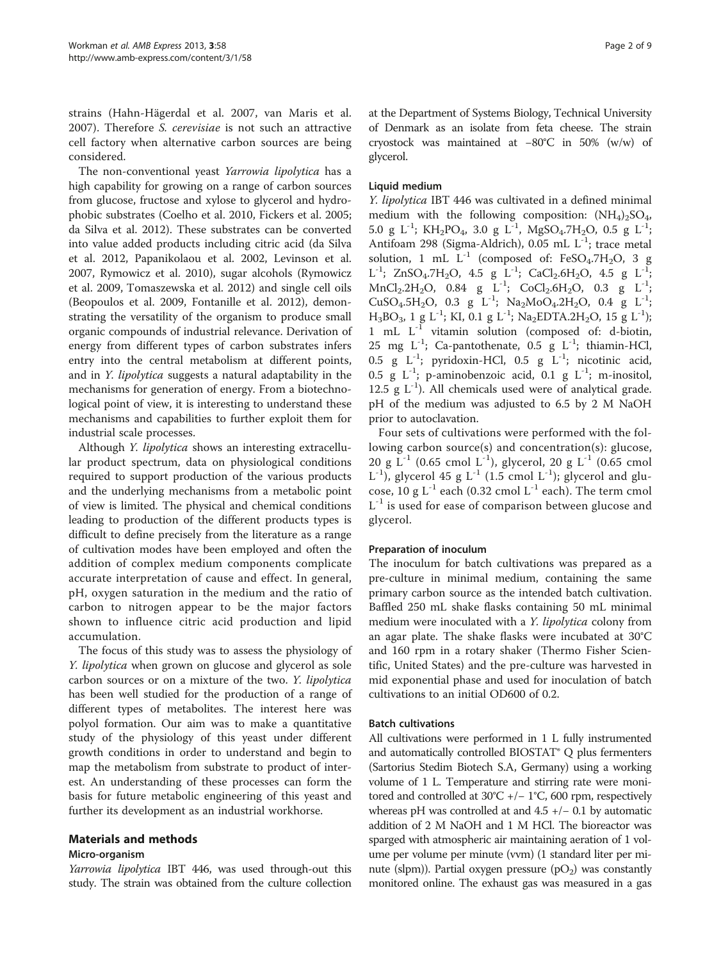strains (Hahn-Hägerdal et al. [2007,](#page-8-0) van Maris et al. [2007\)](#page-8-0). Therefore S. cerevisiae is not such an attractive cell factory when alternative carbon sources are being considered.

The non-conventional yeast Yarrowia lipolytica has a high capability for growing on a range of carbon sources from glucose, fructose and xylose to glycerol and hydrophobic substrates (Coelho et al. [2010,](#page-8-0) Fickers et al. [2005](#page-8-0); da Silva et al. [2012\)](#page-8-0). These substrates can be converted into value added products including citric acid (da Silva et al. [2012,](#page-8-0) Papanikolaou et al. [2002,](#page-8-0) Levinson et al. [2007](#page-8-0), Rymowicz et al. [2010\)](#page-8-0), sugar alcohols (Rymowicz et al. [2009,](#page-8-0) Tomaszewska et al. [2012\)](#page-8-0) and single cell oils (Beopoulos et al. [2009,](#page-8-0) Fontanille et al. [2012\)](#page-8-0), demonstrating the versatility of the organism to produce small organic compounds of industrial relevance. Derivation of energy from different types of carbon substrates infers entry into the central metabolism at different points, and in Y. lipolytica suggests a natural adaptability in the mechanisms for generation of energy. From a biotechnological point of view, it is interesting to understand these mechanisms and capabilities to further exploit them for industrial scale processes.

Although Y. lipolytica shows an interesting extracellular product spectrum, data on physiological conditions required to support production of the various products and the underlying mechanisms from a metabolic point of view is limited. The physical and chemical conditions leading to production of the different products types is difficult to define precisely from the literature as a range of cultivation modes have been employed and often the addition of complex medium components complicate accurate interpretation of cause and effect. In general, pH, oxygen saturation in the medium and the ratio of carbon to nitrogen appear to be the major factors shown to influence citric acid production and lipid accumulation.

The focus of this study was to assess the physiology of Y. lipolytica when grown on glucose and glycerol as sole carbon sources or on a mixture of the two. Y. lipolytica has been well studied for the production of a range of different types of metabolites. The interest here was polyol formation. Our aim was to make a quantitative study of the physiology of this yeast under different growth conditions in order to understand and begin to map the metabolism from substrate to product of interest. An understanding of these processes can form the basis for future metabolic engineering of this yeast and further its development as an industrial workhorse.

# Materials and methods

# Micro-organism

Yarrowia lipolytica IBT 446, was used through-out this study. The strain was obtained from the culture collection

at the Department of Systems Biology, Technical University of Denmark as an isolate from feta cheese. The strain cryostock was maintained at −80°C in 50% (w/w) of glycerol.

# Liquid medium

Y. lipolytica IBT 446 was cultivated in a defined minimal medium with the following composition:  $(NH_4)_2SO_4$ , 5.0 g L<sup>-1</sup>; KH<sub>2</sub>PO<sub>4</sub>, 3.0 g L<sup>-1</sup>, MgSO<sub>4</sub>.7H<sub>2</sub>O, 0.5 g L<sup>-1</sup>; Antifoam 298 (Sigma-Aldrich), 0.05 mL L<sup>-1</sup>; trace metal solution, 1 mL  $L^{-1}$  (composed of: FeSO<sub>4</sub>.7H<sub>2</sub>O, 3 g  $L^{-1}$ ; ZnSO<sub>4</sub>.7H<sub>2</sub>O, 4.5 g  $L^{-1}$ ; CaCl<sub>2</sub>.6H<sub>2</sub>O, 4.5 g  $L^{-1}$ ;  $MnCl_2.2H_2O$ , 0.84 g L<sup>-1</sup>; CoCl<sub>2</sub>.6H<sub>2</sub>O, 0.3 g L<sup>-</sup>  $CuSO<sub>4</sub>.5H<sub>2</sub>O$ , 0.3 g L<sup>-1</sup>; Na<sub>2</sub>MoO<sub>4</sub>.2H<sub>2</sub>O, 0.4 g L<sup>-1</sup>;  $H_3BO_3$ , 1 g L<sup>-1</sup>; KI, 0.1 g L<sup>-1</sup>; Na<sub>2</sub>EDTA.2H<sub>2</sub>O, 15 g L<sup>-1</sup>); 1 mL  $L^{-1}$  vitamin solution (composed of: d-biotin, 25 mg  $L^{-1}$ ; Ca-pantothenate, 0.5 g  $L^{-1}$ ; thiamin-HCl, 0.5 g  $L^{-1}$ ; pyridoxin-HCl, 0.5 g  $L^{-1}$ ; nicotinic acid, 0.5 g  $L^{-1}$ ; p-aminobenzoic acid, 0.1 g  $L^{-1}$ ; m-inositol, 12.5 g  $L^{-1}$ ). All chemicals used were of analytical grade. pH of the medium was adjusted to 6.5 by 2 M NaOH prior to autoclavation.

Four sets of cultivations were performed with the following carbon source(s) and concentration(s): glucose, 20 g  $L^{-1}$  (0.65 cmol  $L^{-1}$ ), glycerol, 20 g  $L^{-1}$  (0.65 cmol  $L^{-1}$ ), glycerol 45 g  $L^{-1}$  (1.5 cmol  $L^{-1}$ ); glycerol and glucose, 10 g  $L^{-1}$  each (0.32 cmol  $L^{-1}$  each). The term cmol  $L^{-1}$  is used for ease of comparison between glucose and glycerol.

# Preparation of inoculum

The inoculum for batch cultivations was prepared as a pre-culture in minimal medium, containing the same primary carbon source as the intended batch cultivation. Baffled 250 mL shake flasks containing 50 mL minimal medium were inoculated with a Y. lipolytica colony from an agar plate. The shake flasks were incubated at 30°C and 160 rpm in a rotary shaker (Thermo Fisher Scientific, United States) and the pre-culture was harvested in mid exponential phase and used for inoculation of batch cultivations to an initial OD600 of 0.2.

# Batch cultivations

All cultivations were performed in 1 L fully instrumented and automatically controlled  $BIOSTAT^{\circ} Q$  plus fermenters (Sartorius Stedim Biotech S.A, Germany) using a working volume of 1 L. Temperature and stirring rate were monitored and controlled at 30°C +/− 1°C, 600 rpm, respectively whereas pH was controlled at and 4.5 +/− 0.1 by automatic addition of 2 M NaOH and 1 M HCl. The bioreactor was sparged with atmospheric air maintaining aeration of 1 volume per volume per minute (vvm) (1 standard liter per minute (slpm)). Partial oxygen pressure  $(pO_2)$  was constantly monitored online. The exhaust gas was measured in a gas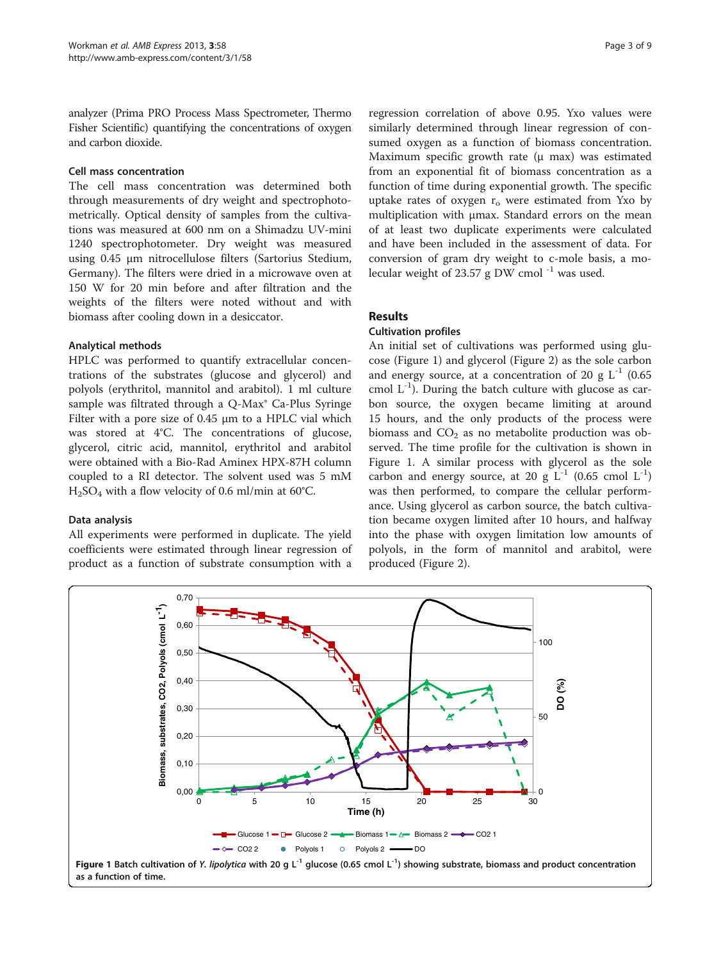<span id="page-2-0"></span>analyzer (Prima PRO Process Mass Spectrometer, Thermo Fisher Scientific) quantifying the concentrations of oxygen and carbon dioxide.

# Cell mass concentration

The cell mass concentration was determined both through measurements of dry weight and spectrophotometrically. Optical density of samples from the cultivations was measured at 600 nm on a Shimadzu UV-mini 1240 spectrophotometer. Dry weight was measured using 0.45 μm nitrocellulose filters (Sartorius Stedium, Germany). The filters were dried in a microwave oven at 150 W for 20 min before and after filtration and the weights of the filters were noted without and with biomass after cooling down in a desiccator.

# Analytical methods

HPLC was performed to quantify extracellular concentrations of the substrates (glucose and glycerol) and polyols (erythritol, mannitol and arabitol). 1 ml culture sample was filtrated through a Q-Max<sup>®</sup> Ca-Plus Syringe Filter with a pore size of 0.45 μm to a HPLC vial which was stored at 4°C. The concentrations of glucose, glycerol, citric acid, mannitol, erythritol and arabitol were obtained with a Bio-Rad Aminex HPX-87H column coupled to a RI detector. The solvent used was 5 mM  $H<sub>2</sub>SO<sub>4</sub>$  with a flow velocity of 0.6 ml/min at 60°C.

# Data analysis

All experiments were performed in duplicate. The yield coefficients were estimated through linear regression of product as a function of substrate consumption with a

regression correlation of above 0.95. Yxo values were similarly determined through linear regression of consumed oxygen as a function of biomass concentration. Maximum specific growth rate (μ max) was estimated from an exponential fit of biomass concentration as a function of time during exponential growth. The specific uptake rates of oxygen  $r_0$  were estimated from Yxo by multiplication with μmax. Standard errors on the mean of at least two duplicate experiments were calculated and have been included in the assessment of data. For conversion of gram dry weight to c-mole basis, a molecular weight of 23.57 g DW cmol $^{-1}$  was used.

# Results

# Cultivation profiles

An initial set of cultivations was performed using glucose (Figure 1) and glycerol (Figure [2](#page-3-0)) as the sole carbon and energy source, at a concentration of 20 g  $L^{-1}$  (0.65) cmol  $L^{-1}$ ). During the batch culture with glucose as carbon source, the oxygen became limiting at around 15 hours, and the only products of the process were biomass and  $CO<sub>2</sub>$  as no metabolite production was observed. The time profile for the cultivation is shown in Figure 1. A similar process with glycerol as the sole carbon and energy source, at 20 g  $L^{-1}$  (0.65 cmol  $L^{-1}$ ) was then performed, to compare the cellular performance. Using glycerol as carbon source, the batch cultivation became oxygen limited after 10 hours, and halfway into the phase with oxygen limitation low amounts of polyols, in the form of mannitol and arabitol, were produced (Figure [2\)](#page-3-0).

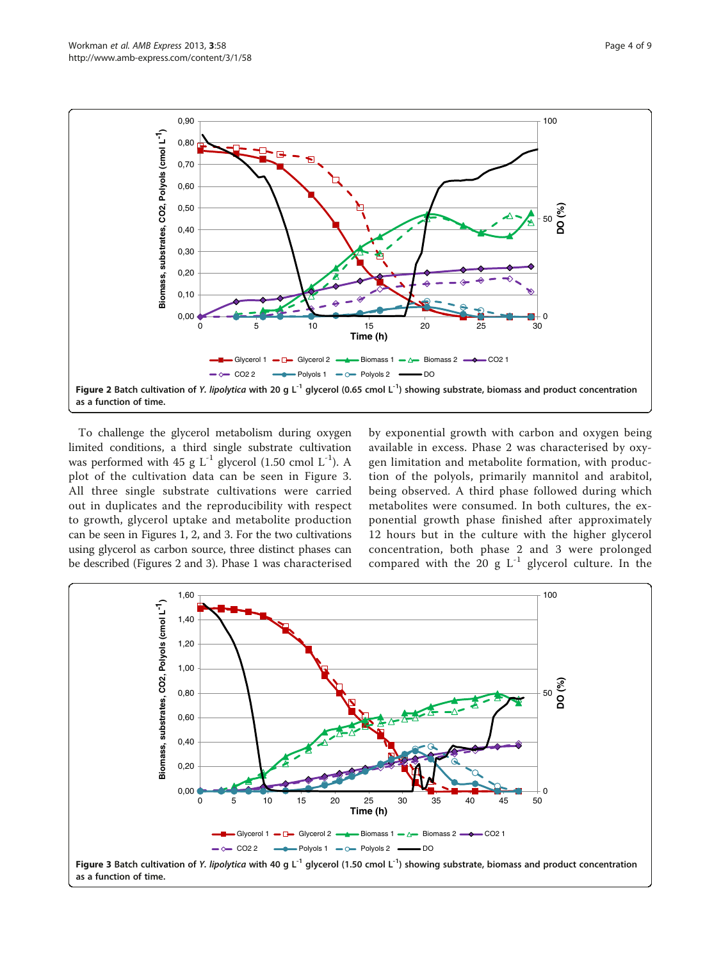<span id="page-3-0"></span>

To challenge the glycerol metabolism during oxygen limited conditions, a third single substrate cultivation was performed with 45 g  $L^{-1}$  glycerol (1.50 cmol  $L^{-1}$ ). A plot of the cultivation data can be seen in Figure 3. All three single substrate cultivations were carried out in duplicates and the reproducibility with respect to growth, glycerol uptake and metabolite production can be seen in Figures [1](#page-2-0), 2, and 3. For the two cultivations using glycerol as carbon source, three distinct phases can be described (Figures 2 and 3). Phase 1 was characterised by exponential growth with carbon and oxygen being available in excess. Phase 2 was characterised by oxygen limitation and metabolite formation, with production of the polyols, primarily mannitol and arabitol, being observed. A third phase followed during which metabolites were consumed. In both cultures, the exponential growth phase finished after approximately 12 hours but in the culture with the higher glycerol concentration, both phase 2 and 3 were prolonged compared with the 20 g  $L^{-1}$  glycerol culture. In the

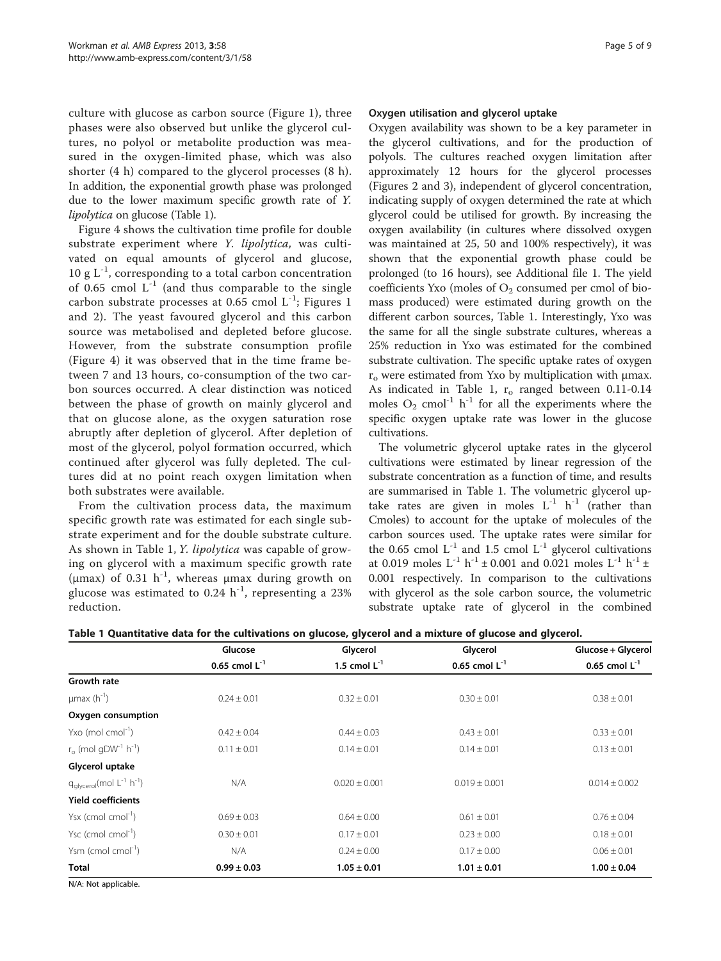<span id="page-4-0"></span>culture with glucose as carbon source (Figure [1](#page-2-0)), three phases were also observed but unlike the glycerol cultures, no polyol or metabolite production was measured in the oxygen-limited phase, which was also shorter (4 h) compared to the glycerol processes (8 h). In addition, the exponential growth phase was prolonged due to the lower maximum specific growth rate of Y. lipolytica on glucose (Table 1).

Figure [4](#page-5-0) shows the cultivation time profile for double substrate experiment where Y. lipolytica, was cultivated on equal amounts of glycerol and glucose, 10 g  $L^{-1}$ , corresponding to a total carbon concentration of 0.65 cmol  $L^{-1}$  (and thus comparable to the single carbon substrate processes at 0.65 cmol  $L^{-1}$ ; Figures [1](#page-2-0) and [2](#page-3-0)). The yeast favoured glycerol and this carbon source was metabolised and depleted before glucose. However, from the substrate consumption profile (Figure [4](#page-5-0)) it was observed that in the time frame between 7 and 13 hours, co-consumption of the two carbon sources occurred. A clear distinction was noticed between the phase of growth on mainly glycerol and that on glucose alone, as the oxygen saturation rose abruptly after depletion of glycerol. After depletion of most of the glycerol, polyol formation occurred, which continued after glycerol was fully depleted. The cultures did at no point reach oxygen limitation when both substrates were available.

From the cultivation process data, the maximum specific growth rate was estimated for each single substrate experiment and for the double substrate culture. As shown in Table 1, Y. lipolytica was capable of growing on glycerol with a maximum specific growth rate ( $\mu$ max) of 0.31 h<sup>-1</sup>, whereas  $\mu$ max during growth on glucose was estimated to 0.24  $h^{-1}$ , representing a 23% reduction.

## Oxygen utilisation and glycerol uptake

Oxygen availability was shown to be a key parameter in the glycerol cultivations, and for the production of polyols. The cultures reached oxygen limitation after approximately 12 hours for the glycerol processes (Figures [2](#page-3-0) and [3\)](#page-3-0), independent of glycerol concentration, indicating supply of oxygen determined the rate at which glycerol could be utilised for growth. By increasing the oxygen availability (in cultures where dissolved oxygen was maintained at 25, 50 and 100% respectively), it was shown that the exponential growth phase could be prolonged (to 16 hours), see Additional file [1.](#page-8-0) The yield coefficients Yxo (moles of  $O<sub>2</sub>$  consumed per cmol of biomass produced) were estimated during growth on the different carbon sources, Table 1. Interestingly, Yxo was the same for all the single substrate cultures, whereas a 25% reduction in Yxo was estimated for the combined substrate cultivation. The specific uptake rates of oxygen  $r_0$  were estimated from Yxo by multiplication with  $\mu$ max. As indicated in Table 1,  $r_0$  ranged between 0.11-0.14 moles  $O_2$  cmol<sup>-1</sup> h<sup>-1</sup> for all the experiments where the specific oxygen uptake rate was lower in the glucose cultivations.

The volumetric glycerol uptake rates in the glycerol cultivations were estimated by linear regression of the substrate concentration as a function of time, and results are summarised in Table 1. The volumetric glycerol uptake rates are given in moles  $L^{-1}$  h<sup>-1</sup> (rather than Cmoles) to account for the uptake of molecules of the carbon sources used. The uptake rates were similar for the 0.65 cmol  $L^{-1}$  and 1.5 cmol  $L^{-1}$  glycerol cultivations at 0.019 moles  $L^{-1}$  h<sup>-1</sup> ± 0.001 and 0.021 moles  $L^{-1}$  h<sup>-1</sup> ± 0.001 respectively. In comparison to the cultivations with glycerol as the sole carbon source, the volumetric substrate uptake rate of glycerol in the combined

|                                                              | Glucose<br>0.65 cmol $L^{-1}$ | Glycerol<br>1.5 cmol $L^{-1}$ | Glycerol<br>0.65 cmol $L^{-1}$ | Glucose + Glycerol<br>0.65 cmol $L^{-1}$ |
|--------------------------------------------------------------|-------------------------------|-------------------------------|--------------------------------|------------------------------------------|
|                                                              |                               |                               |                                |                                          |
| Growth rate                                                  |                               |                               |                                |                                          |
| $\mu$ max (h <sup>-1</sup> )                                 | $0.24 \pm 0.01$               | $0.32 \pm 0.01$               | $0.30 \pm 0.01$                | $0.38 \pm 0.01$                          |
| Oxygen consumption                                           |                               |                               |                                |                                          |
| Yxo (mol cmol <sup>-1</sup> )                                | $0.42 \pm 0.04$               | $0.44 \pm 0.03$               | $0.43 \pm 0.01$                | $0.33 \pm 0.01$                          |
| $r_{\rm o}$ (mol gDW <sup>-1</sup> h <sup>-1</sup> )         | $0.11 \pm 0.01$               | $0.14 \pm 0.01$               | $0.14 \pm 0.01$                | $0.13 \pm 0.01$                          |
| Glycerol uptake                                              |                               |                               |                                |                                          |
| q <sub>glycerol</sub> (mol L <sup>-1</sup> h <sup>-1</sup> ) | N/A                           | $0.020 \pm 0.001$             | $0.019 \pm 0.001$              | $0.014 \pm 0.002$                        |
| Yield coefficients                                           |                               |                               |                                |                                          |
| Ysx (cmol cmol <sup>-1</sup> )                               | $0.69 \pm 0.03$               | $0.64 \pm 0.00$               | $0.61 \pm 0.01$                | $0.76 \pm 0.04$                          |
| Ysc (cmol cmol <sup>-1</sup> )                               | $0.30 \pm 0.01$               | $0.17 \pm 0.01$               | $0.23 \pm 0.00$                | $0.18 \pm 0.01$                          |
| Ysm (cmol cmol <sup>-1</sup> )                               | N/A                           | $0.24 + 0.00$                 | $0.17 \pm 0.00$                | $0.06 \pm 0.01$                          |
| Total                                                        | $0.99 \pm 0.03$               | $1.05 \pm 0.01$               | $1.01 \pm 0.01$                | $1.00 \pm 0.04$                          |

N/A: Not applicable.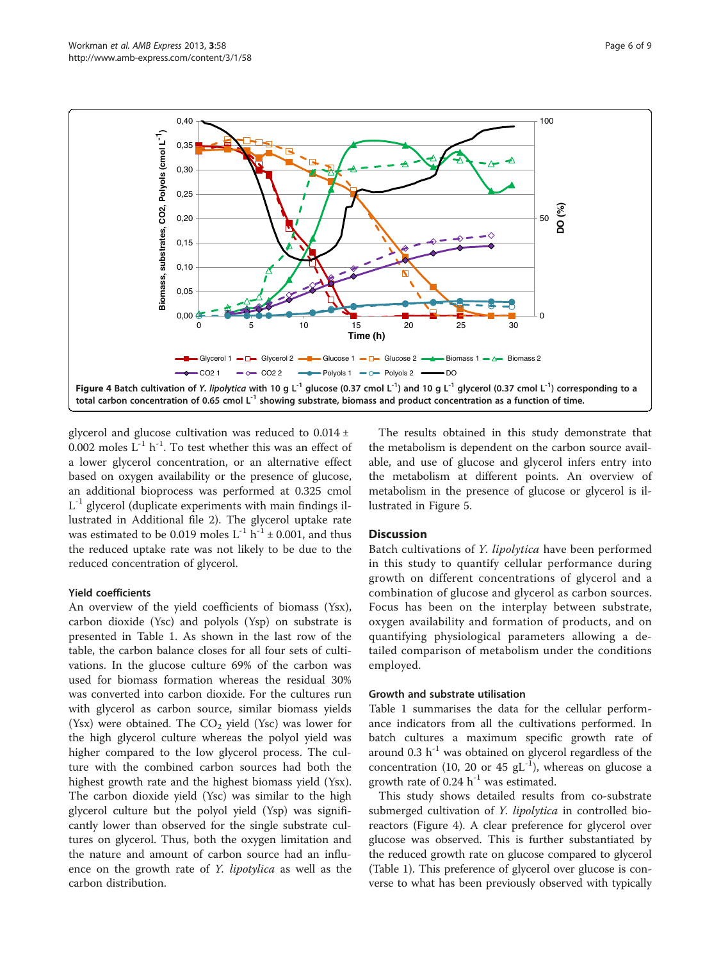<span id="page-5-0"></span>

glycerol and glucose cultivation was reduced to  $0.014 \pm$ 0.002 moles  $L^{-1}$  h<sup>-1</sup>. To test whether this was an effect of a lower glycerol concentration, or an alternative effect based on oxygen availability or the presence of glucose, an additional bioprocess was performed at 0.325 cmol  $L^{-1}$  glycerol (duplicate experiments with main findings illustrated in Additional file [2\)](#page-8-0). The glycerol uptake rate was estimated to be 0.019 moles  $L^{-1}$  h<sup>-1</sup> ± 0.001, and thus the reduced uptake rate was not likely to be due to the reduced concentration of glycerol.

# Yield coefficients

An overview of the yield coefficients of biomass (Ysx), carbon dioxide (Ysc) and polyols (Ysp) on substrate is presented in Table [1.](#page-4-0) As shown in the last row of the table, the carbon balance closes for all four sets of cultivations. In the glucose culture 69% of the carbon was used for biomass formation whereas the residual 30% was converted into carbon dioxide. For the cultures run with glycerol as carbon source, similar biomass yields (Ysx) were obtained. The  $CO<sub>2</sub>$  yield (Ysc) was lower for the high glycerol culture whereas the polyol yield was higher compared to the low glycerol process. The culture with the combined carbon sources had both the highest growth rate and the highest biomass yield (Ysx). The carbon dioxide yield (Ysc) was similar to the high glycerol culture but the polyol yield (Ysp) was significantly lower than observed for the single substrate cultures on glycerol. Thus, both the oxygen limitation and the nature and amount of carbon source had an influence on the growth rate of Y. lipotylica as well as the carbon distribution.

The results obtained in this study demonstrate that the metabolism is dependent on the carbon source available, and use of glucose and glycerol infers entry into the metabolism at different points. An overview of metabolism in the presence of glucose or glycerol is illustrated in Figure [5.](#page-6-0)

# **Discussion**

Batch cultivations of Y. lipolytica have been performed in this study to quantify cellular performance during growth on different concentrations of glycerol and a combination of glucose and glycerol as carbon sources. Focus has been on the interplay between substrate, oxygen availability and formation of products, and on quantifying physiological parameters allowing a detailed comparison of metabolism under the conditions employed.

## Growth and substrate utilisation

Table [1](#page-4-0) summarises the data for the cellular performance indicators from all the cultivations performed. In batch cultures a maximum specific growth rate of around 0.3  $h^{-1}$  was obtained on glycerol regardless of the concentration (10, 20 or 45  $gL^{-1}$ ), whereas on glucose a growth rate of  $0.24$  h<sup>-1</sup> was estimated.

This study shows detailed results from co-substrate submerged cultivation of Y. lipolytica in controlled bioreactors (Figure 4). A clear preference for glycerol over glucose was observed. This is further substantiated by the reduced growth rate on glucose compared to glycerol (Table [1\)](#page-4-0). This preference of glycerol over glucose is converse to what has been previously observed with typically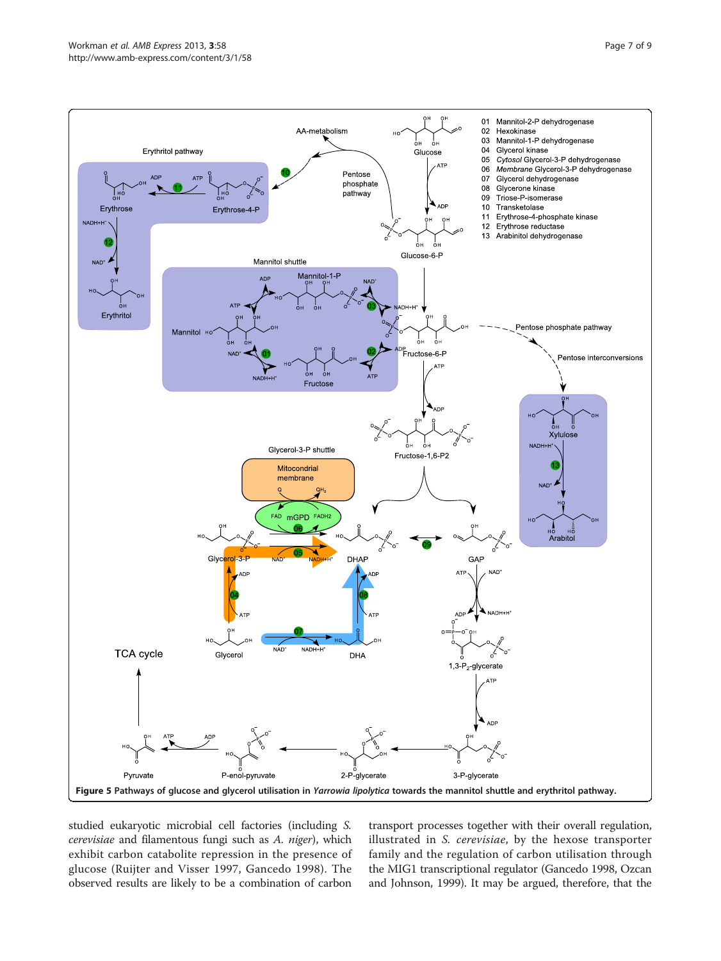<span id="page-6-0"></span>

studied eukaryotic microbial cell factories (including S. cerevisiae and filamentous fungi such as A. niger), which exhibit carbon catabolite repression in the presence of glucose (Ruijter and Visser [1997](#page-8-0), Gancedo [1998\)](#page-8-0). The observed results are likely to be a combination of carbon

transport processes together with their overall regulation, illustrated in S. cerevisiae, by the hexose transporter family and the regulation of carbon utilisation through the MIG1 transcriptional regulator (Gancedo [1998,](#page-8-0) Ozcan and Johnson, [1999](#page-8-0)). It may be argued, therefore, that the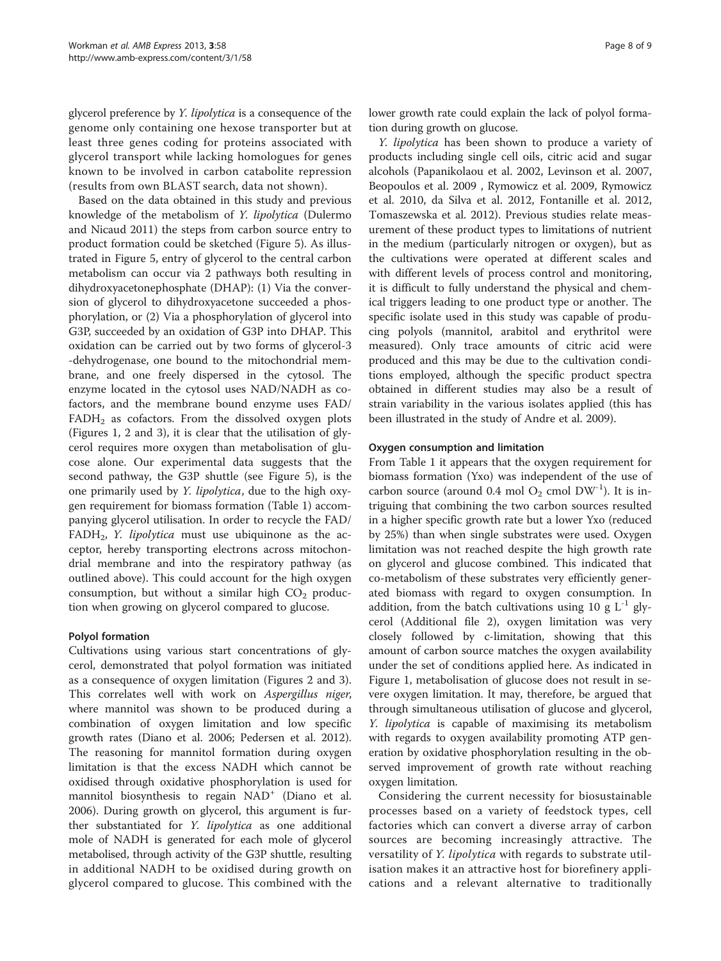glycerol preference by Y. lipolytica is a consequence of the genome only containing one hexose transporter but at least three genes coding for proteins associated with glycerol transport while lacking homologues for genes known to be involved in carbon catabolite repression (results from own BLAST search, data not shown).

Based on the data obtained in this study and previous knowledge of the metabolism of Y. lipolytica (Dulermo and Nicaud [2011](#page-8-0)) the steps from carbon source entry to product formation could be sketched (Figure [5](#page-6-0)). As illustrated in Figure [5,](#page-6-0) entry of glycerol to the central carbon metabolism can occur via 2 pathways both resulting in dihydroxyacetonephosphate (DHAP): (1) Via the conversion of glycerol to dihydroxyacetone succeeded a phosphorylation, or (2) Via a phosphorylation of glycerol into G3P, succeeded by an oxidation of G3P into DHAP. This oxidation can be carried out by two forms of glycerol-3 -dehydrogenase, one bound to the mitochondrial membrane, and one freely dispersed in the cytosol. The enzyme located in the cytosol uses NAD/NADH as cofactors, and the membrane bound enzyme uses FAD/  $FADH<sub>2</sub>$  as cofactors. From the dissolved oxygen plots (Figures [1,](#page-2-0) [2](#page-3-0) and [3\)](#page-3-0), it is clear that the utilisation of glycerol requires more oxygen than metabolisation of glucose alone. Our experimental data suggests that the second pathway, the G3P shuttle (see Figure [5](#page-6-0)), is the one primarily used by Y. lipolytica, due to the high oxygen requirement for biomass formation (Table [1](#page-4-0)) accompanying glycerol utilisation. In order to recycle the FAD/ FADH<sub>2</sub>, *Y. lipolytica* must use ubiquinone as the acceptor, hereby transporting electrons across mitochondrial membrane and into the respiratory pathway (as outlined above). This could account for the high oxygen consumption, but without a similar high  $CO<sub>2</sub>$  production when growing on glycerol compared to glucose.

# Polyol formation

Cultivations using various start concentrations of glycerol, demonstrated that polyol formation was initiated as a consequence of oxygen limitation (Figures [2](#page-3-0) and [3](#page-3-0)). This correlates well with work on Aspergillus niger, where mannitol was shown to be produced during a combination of oxygen limitation and low specific growth rates (Diano et al. [2006;](#page-8-0) Pedersen et al. [2012](#page-8-0)). The reasoning for mannitol formation during oxygen limitation is that the excess NADH which cannot be oxidised through oxidative phosphorylation is used for mannitol biosynthesis to regain NAD<sup>+</sup> (Diano et al. [2006](#page-8-0)). During growth on glycerol, this argument is further substantiated for Y. lipolytica as one additional mole of NADH is generated for each mole of glycerol metabolised, through activity of the G3P shuttle, resulting in additional NADH to be oxidised during growth on glycerol compared to glucose. This combined with the lower growth rate could explain the lack of polyol formation during growth on glucose.

Y. lipolytica has been shown to produce a variety of products including single cell oils, citric acid and sugar alcohols (Papanikolaou et al. [2002,](#page-8-0) Levinson et al. [2007](#page-8-0), Beopoulos et al. [2009](#page-8-0) , Rymowicz et al. [2009](#page-8-0), Rymowicz et al. [2010,](#page-8-0) da Silva et al. [2012](#page-8-0), Fontanille et al. [2012](#page-8-0), Tomaszewska et al. [2012\)](#page-8-0). Previous studies relate measurement of these product types to limitations of nutrient in the medium (particularly nitrogen or oxygen), but as the cultivations were operated at different scales and with different levels of process control and monitoring, it is difficult to fully understand the physical and chemical triggers leading to one product type or another. The specific isolate used in this study was capable of producing polyols (mannitol, arabitol and erythritol were measured). Only trace amounts of citric acid were produced and this may be due to the cultivation conditions employed, although the specific product spectra obtained in different studies may also be a result of strain variability in the various isolates applied (this has been illustrated in the study of Andre et al. [2009\)](#page-8-0).

# Oxygen consumption and limitation

From Table [1](#page-4-0) it appears that the oxygen requirement for biomass formation (Yxo) was independent of the use of carbon source (around 0.4 mol  $O_2$  cmol DW<sup>-1</sup>). It is intriguing that combining the two carbon sources resulted in a higher specific growth rate but a lower Yxo (reduced by 25%) than when single substrates were used. Oxygen limitation was not reached despite the high growth rate on glycerol and glucose combined. This indicated that co-metabolism of these substrates very efficiently generated biomass with regard to oxygen consumption. In addition, from the batch cultivations using 10 g  $L^{-1}$  glycerol (Additional file [2](#page-8-0)), oxygen limitation was very closely followed by c-limitation, showing that this amount of carbon source matches the oxygen availability under the set of conditions applied here. As indicated in Figure [1,](#page-2-0) metabolisation of glucose does not result in severe oxygen limitation. It may, therefore, be argued that through simultaneous utilisation of glucose and glycerol, Y. lipolytica is capable of maximising its metabolism with regards to oxygen availability promoting ATP generation by oxidative phosphorylation resulting in the observed improvement of growth rate without reaching oxygen limitation.

Considering the current necessity for biosustainable processes based on a variety of feedstock types, cell factories which can convert a diverse array of carbon sources are becoming increasingly attractive. The versatility of Y. *lipolytica* with regards to substrate utilisation makes it an attractive host for biorefinery applications and a relevant alternative to traditionally